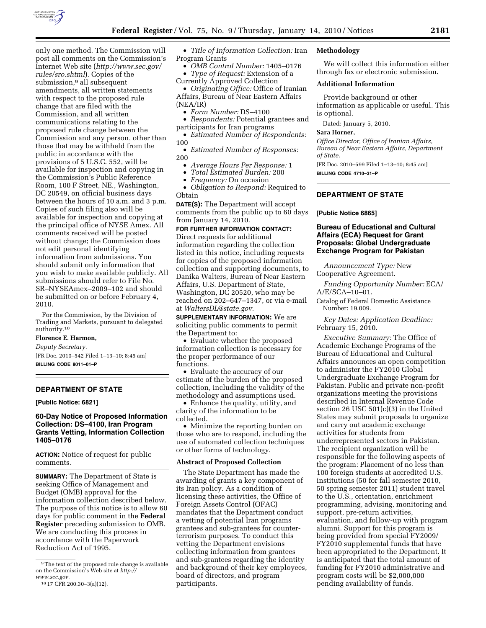

only one method. The Commission will post all comments on the Commission's Internet Web site (*http://www.sec.gov/ rules/sro.shtml*). Copies of the submission,<sup>9</sup> all subsequent amendments, all written statements with respect to the proposed rule change that are filed with the Commission, and all written communications relating to the proposed rule change between the Commission and any person, other than those that may be withheld from the public in accordance with the provisions of 5 U.S.C. 552, will be available for inspection and copying in the Commission's Public Reference Room, 100 F Street, NE., Washington, DC 20549, on official business days between the hours of 10 a.m. and 3 p.m. Copies of such filing also will be available for inspection and copying at the principal office of NYSE Amex. All comments received will be posted without change; the Commission does not edit personal identifying information from submissions. You should submit only information that you wish to make available publicly. All submissions should refer to File No. SR–NYSEAmex–2009–102 and should be submitted on or before February 4,

For the Commission, by the Division of Trading and Markets, pursuant to delegated authority.10

#### **Florence E. Harmon,**

2010.

*Deputy Secretary.* 

[FR Doc. 2010–542 Filed 1–13–10; 8:45 am] **BILLING CODE 8011–01–P** 

# **DEPARTMENT OF STATE**

**[Public Notice: 6821]** 

## **60-Day Notice of Proposed Information Collection: DS–4100, Iran Program Grants Vetting, Information Collection 1405–0176**

**ACTION:** Notice of request for public comments.

**SUMMARY:** The Department of State is seeking Office of Management and Budget (OMB) approval for the information collection described below. The purpose of this notice is to allow 60 days for public comment in the **Federal Register** preceding submission to OMB. We are conducting this process in accordance with the Paperwork Reduction Act of 1995.

• *Title of Information Collection:* Iran Program Grants

• *OMB Control Number:* 1405–0176

• *Type of Request:* Extension of a Currently Approved Collection

• *Originating Office:* Office of Iranian Affairs, Bureau of Near Eastern Affairs (NEA/IR)

• *Form Number:* DS–4100

• *Respondents:* Potential grantees and participants for Iran programs

• *Estimated Number of Respondents:*  100

• *Estimated Number of Responses:*  200

- *Average Hours Per Response:* 1
- *Total Estimated Burden:* 200
- *Frequency:* On occasion

• *Obligation to Respond:* Required to **Ohtain** 

**DATE(S):** The Department will accept comments from the public up to 60 days from January 14, 2010.

### **FOR FURTHER INFORMATION CONTACT:**  Direct requests for additional information regarding the collection listed in this notice, including requests

for copies of the proposed information collection and supporting documents, to Danika Walters, Bureau of Near Eastern Affairs, U.S. Department of State, Washington, DC 20520, who may be reached on 202–647–1347, or via e-mail at *WaltersDL@state.gov.* 

**SUPPLEMENTARY INFORMATION:** We are soliciting public comments to permit the Department to:

• Evaluate whether the proposed information collection is necessary for the proper performance of our functions.

• Evaluate the accuracy of our estimate of the burden of the proposed collection, including the validity of the methodology and assumptions used.

• Enhance the quality, utility, and clarity of the information to be collected.

• Minimize the reporting burden on those who are to respond, including the use of automated collection techniques or other forms of technology.

### **Abstract of Proposed Collection**

The State Department has made the awarding of grants a key component of its Iran policy. As a condition of licensing these activities, the Office of Foreign Assets Control (OFAC) mandates that the Department conduct a vetting of potential Iran programs grantees and sub-grantees for counterterrorism purposes. To conduct this vetting the Department envisions collecting information from grantees and sub-grantees regarding the identity and background of their key employees, board of directors, and program participants.

### **Methodology**

We will collect this information either through fax or electronic submission.

### **Additional Information**

Provide background or other information as applicable or useful. This is optional.

Dated: January 5, 2010.

### **Sara Horner,**

*Office Director, Office of Iranian Affairs, Bureau of Near Eastern Affairs, Department of State.* 

[FR Doc. 2010–599 Filed 1–13–10; 8:45 am] **BILLING CODE 4710–31–P** 

### **DEPARTMENT OF STATE**

**[Public Notice 6865]** 

### **Bureau of Educational and Cultural Affairs (ECA) Request for Grant Proposals: Global Undergraduate Exchange Program for Pakistan**

*Announcement Type:* New Cooperative Agreement.

*Funding Opportunity Number:* ECA/ A/E/SCA–10–01.

Catalog of Federal Domestic Assistance Number: 19.009.

*Key Dates: Application Deadline:*  February 15, 2010.

*Executive Summary:* The Office of Academic Exchange Programs of the Bureau of Educational and Cultural Affairs announces an open competition to administer the FY2010 Global Undergraduate Exchange Program for Pakistan. Public and private non-profit organizations meeting the provisions described in Internal Revenue Code section 26 USC 501(c)(3) in the United States may submit proposals to organize and carry out academic exchange activities for students from underrepresented sectors in Pakistan. The recipient organization will be responsible for the following aspects of the program: Placement of no less than 100 foreign students at accredited U.S. institutions (50 for fall semester 2010, 50 spring semester 2011) student travel to the U.S., orientation, enrichment programming, advising, monitoring and support, pre-return activities, evaluation, and follow-up with program alumni. Support for this program is being provided from special FY2009/ FY2010 supplemental funds that have been appropriated to the Department. It is anticipated that the total amount of funding for FY2010 administrative and program costs will be \$2,000,000 pending availability of funds.

<sup>9</sup>The text of the proposed rule change is available on the Commission's Web site at *http:// www.sec.gov.* 

<sup>10</sup> 17 CFR 200.30–3(a)(12).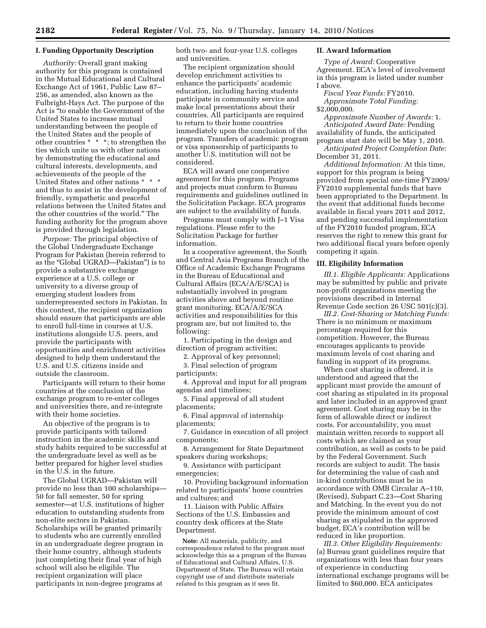### **I. Funding Opportunity Description**

*Authority:* Overall grant making authority for this program is contained in the Mutual Educational and Cultural Exchange Act of 1961, Public Law 87– 256, as amended, also known as the Fulbright-Hays Act. The purpose of the Act is ''to enable the Government of the United States to increase mutual understanding between the people of the United States and the people of other countries \* \* \*; to strengthen the ties which unite us with other nations by demonstrating the educational and cultural interests, developments, and achievements of the people of the United States and other nations \* \* \* and thus to assist in the development of friendly, sympathetic and peaceful relations between the United States and the other countries of the world.'' The funding authority for the program above is provided through legislation.

*Purpose:* The principal objective of the Global Undergraduate Exchange Program for Pakistan (herein referred to as the ''Global UGRAD—Pakistan'') is to provide a substantive exchange experience at a U.S. college or university to a diverse group of emerging student leaders from underrepresented sectors in Pakistan. In this context, the recipient organization should ensure that participants are able to enroll full-time in courses at U.S. institutions alongside U.S. peers, and provide the participants with opportunities and enrichment activities designed to help them understand the U.S. and U.S. citizens inside and outside the classroom.

Participants will return to their home countries at the conclusion of the exchange program to re-enter colleges and universities there, and re-integrate with their home societies.

An objective of the program is to provide participants with tailored instruction in the academic skills and study habits required to be successful at the undergraduate level as well as be better prepared for higher level studies in the U.S. in the future.

The Global UGRAD—Pakistan will provide no less than 100 scholarships— 50 for fall semester, 50 for spring semester—at U.S. institutions of higher education to outstanding students from non-elite sectors in Pakistan. Scholarships will be granted primarily to students who are currently enrolled in an undergraduate degree program in their home country, although students just completing their final year of high school will also be eligible. The recipient organization will place participants in non-degree programs at

both two- and four-year U.S. colleges and universities.

The recipient organization should develop enrichment activities to enhance the participants' academic education, including having students participate in community service and make local presentations about their countries. All participants are required to return to their home countries immediately upon the conclusion of the program. Transfers of academic program or visa sponsorship of participants to another U.S. institution will not be considered.

ECA will award one cooperative agreement for this program. Programs and projects must conform to Bureau requirements and guidelines outlined in the Solicitation Package. ECA programs are subject to the availability of funds.

Programs must comply with J–1 Visa regulations. Please refer to the Solicitation Package for further information.

In a cooperative agreement, the South and Central Asia Programs Branch of the Office of Academic Exchange Programs in the Bureau of Educational and Cultural Affairs (ECA/A/E/SCA) is substantially involved in program activities above and beyond routine grant monitoring. ECA/A/E/SCA activities and responsibilities for this program are, but not limited to, the following:

1. Participating in the design and direction of program activities;

2. Approval of key personnel;

3. Final selection of program participants;

4. Approval and input for all program agendas and timelines;

5. Final approval of all student placements;

6. Final approval of internship placements;

7. Guidance in execution of all project components;

8. Arrangement for State Department speakers during workshops;

9. Assistance with participant emergencies;

10. Providing background information related to participants' home countries and cultures; and

11. Liaison with Public Affairs Sections of the U.S. Embassies and country desk officers at the State Department.

**Note:** All materials, publicity, and correspondence related to the program must acknowledge this as a program of the Bureau of Educational and Cultural Affairs, U.S. Department of State. The Bureau will retain copyright use of and distribute materials related to this program as it sees fit.

### **II. Award Information**

*Type of Award:* Cooperative Agreement. ECA's level of involvement in this program is listed under number I above.

*Fiscal Year Funds:* FY2010. *Approximate Total Funding:* 

\$2,000,000.

*Approximate Number of Awards:* 1. *Anticipated Award Date:* Pending availability of funds, the anticipated program start date will be May 1, 2010.

*Anticipated Project Completion Date:*  December 31, 2011.

*Additional Information:* At this time, support for this program is being provided from special one-time FY2009/ FY2010 supplemental funds that have been appropriated to the Department. In the event that additional funds become available in fiscal years 2011 and 2012, and pending successful implementation of the FY2010 funded program, ECA reserves the right to renew this grant for two additional fiscal years before openly competing it again.

#### **III. Eligibility Information**

*III.1. Eligible Applicants:* Applications may be submitted by public and private non-profit organizations meeting the provisions described in Internal Revenue Code section 26 USC 501(c)(3).

*III.2. Cost-Sharing or Matching Funds:*  There is no minimum or maximum percentage required for this competition. However, the Bureau encourages applicants to provide maximum levels of cost sharing and funding in support of its programs.

When cost sharing is offered, it is understood and agreed that the applicant must provide the amount of cost sharing as stipulated in its proposal and later included in an approved grant agreement. Cost sharing may be in the form of allowable direct or indirect costs. For accountability, you must maintain written records to support all costs which are claimed as your contribution, as well as costs to be paid by the Federal Government. Such records are subject to audit. The basis for determining the value of cash and in-kind contributions must be in accordance with OMB Circular A–110, (Revised), Subpart C.23—Cost Sharing and Matching. In the event you do not provide the minimum amount of cost sharing as stipulated in the approved budget, ECA's contribution will be reduced in like proportion.

*III.3. Other Eligibility Requirements:*  (a) Bureau grant guidelines require that organizations with less than four years of experience in conducting international exchange programs will be limited to \$60,000. ECA anticipates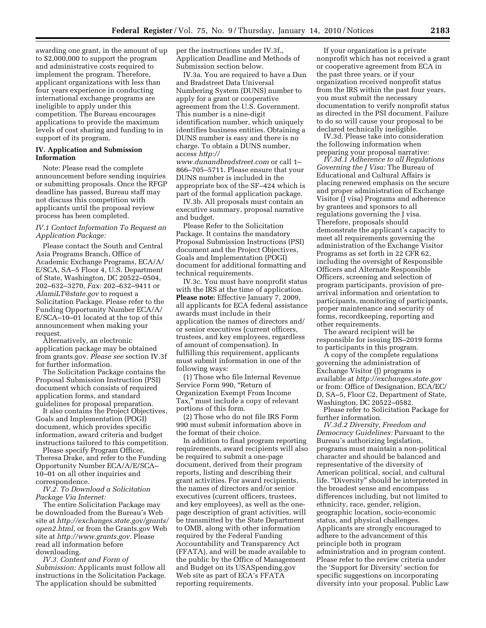awarding one grant, in the amount of up to \$2,000,000 to support the program and administrative costs required to implement the program. Therefore, applicant organizations with less than four years experience in conducting international exchange programs are ineligible to apply under this competition. The Bureau encourages applications to provide the maximum levels of cost sharing and funding to in support of its program.

### **IV. Application and Submission Information**

Note: Please read the complete announcement before sending inquiries or submitting proposals. Once the RFGP deadline has passed, Bureau staff may not discuss this competition with applicants until the proposal review process has been completed.

### *IV.1 Contact Information To Request an Application Package:*

Please contact the South and Central Asia Programs Branch, Office of Academic Exchange Programs, ECA/A/ E/SCA, SA–5 Floor 4, U.S. Department of State, Washington, DC 20522–0504, 202–632–3270, *Fax:* 202–632–9411 or *AlamiLT@state.gov* to request a Solicitation Package. Please refer to the Funding Opportunity Number ECA/A/ E/SCA–10–01 located at the top of this announcement when making your request.

Alternatively, an electronic application package may be obtained from grants.gov. *Please see* section IV.3f for further information.

The Solicitation Package contains the Proposal Submission Instruction (PSI) document which consists of required application forms, and standard guidelines for proposal preparation.

It also contains the Project Objectives, Goals and Implementation (POGI) document, which provides specific information, award criteria and budget instructions tailored to this competition.

Please specify Program Officer, Theresa Drake, and refer to the Funding Opportunity Number ECA/A/E/SCA– 10–01 on all other inquiries and correspondence.

*IV.2. To Download a Solicitation Package Via Internet:* 

The entire Solicitation Package may be downloaded from the Bureau's Web site at *http://exchanges.state.gov/grants/ open2.html,* or from the Grants.gov Web site at *http://www.grants.gov*. Please read all information before downloading.

*IV.3. Content and Form of Submission:* Applicants must follow all instructions in the Solicitation Package. The application should be submitted

per the instructions under IV.3f., Application Deadline and Methods of Submission section below.

IV.3a. You are required to have a Dun and Bradstreet Data Universal Numbering System (DUNS) number to apply for a grant or cooperative agreement from the U.S. Government. This number is a nine-digit identification number, which uniquely identifies business entities. Obtaining a DUNS number is easy and there is no charge. To obtain a DUNS number, access *http:// www.dunandbradstreet.com* or call 1–

866–705–5711. Please ensure that your DUNS number is included in the appropriate box of the SF–424 which is part of the formal application package.

IV.3b. All proposals must contain an executive summary, proposal narrative and budget.

Please Refer to the Solicitation Package. It contains the mandatory Proposal Submission Instructions (PSI) document and the Project Objectives, Goals and Implementation (POGI) document for additional formatting and technical requirements.

IV.3c. You must have nonprofit status with the IRS at the time of application. **Please note:** Effective January 7, 2009, all applicants for ECA federal assistance awards must include in their application the names of directors and/ or senior executives (current officers, trustees, and key employees, regardless of amount of compensation). In fulfilling this requirement, applicants must submit information in one of the following ways:

(1) Those who file Internal Revenue Service Form 990, ''Return of Organization Exempt From Income Tax,'' must include a copy of relevant portions of this form.

(2) Those who do not file IRS Form 990 must submit information above in the format of their choice.

In addition to final program reporting requirements, award recipients will also be required to submit a one-page document, derived from their program reports, listing and describing their grant activities. For award recipients, the names of directors and/or senior executives (current officers, trustees, and key employees), as well as the onepage description of grant activities, will be transmitted by the State Department to OMB, along with other information required by the Federal Funding Accountability and Transparency Act (FFATA), and will be made available to the public by the Office of Management and Budget on its USASpending.gov Web site as part of ECA's FFATA reporting requirements.

If your organization is a private nonprofit which has not received a grant or cooperative agreement from ECA in the past three years, or if your organization received nonprofit status from the IRS within the past four years, you must submit the necessary documentation to verify nonprofit status as directed in the PSI document. Failure to do so will cause your proposal to be declared technically ineligible.

IV.3d. Please take into consideration the following information when preparing your proposal narrative:

*IV.3d.1 Adherence to all Regulations Governing the J Visa:* The Bureau of Educational and Cultural Affairs is placing renewed emphasis on the secure and proper administration of Exchange Visitor (J visa) Programs and adherence by grantees and sponsors to all regulations governing the J visa. Therefore, proposals should demonstrate the applicant's capacity to meet all requirements governing the administration of the Exchange Visitor Programs as set forth in 22 CFR 62, including the oversight of Responsible Officers and Alternate Responsible Officers, screening and selection of program participants, provision of prearrival information and orientation to participants, monitoring of participants, proper maintenance and security of forms, recordkeeping, reporting and other requirements.

The award recipient will be responsible for issuing DS–2019 forms to participants in this program.

A copy of the complete regulations governing the administration of Exchange Visitor (J) programs is available at *http://exchanges.state.gov*  or from: Office of Designation, ECA/EC/ D, SA–5, Floor C2, Department of State, Washington, DC 20522–0582.

Please refer to Solicitation Package for further information.

*IV.3d.2 Diversity, Freedom and Democracy Guidelines:* Pursuant to the Bureau's authorizing legislation, programs must maintain a non-political character and should be balanced and representative of the diversity of American political, social, and cultural life. "Diversity" should be interpreted in the broadest sense and encompass differences including, but not limited to ethnicity, race, gender, religion, geographic location, socio-economic status, and physical challenges. Applicants are strongly encouraged to adhere to the advancement of this principle both in program administration and in program content. Please refer to the review criteria under the 'Support for Diversity' section for specific suggestions on incorporating diversity into your proposal. Public Law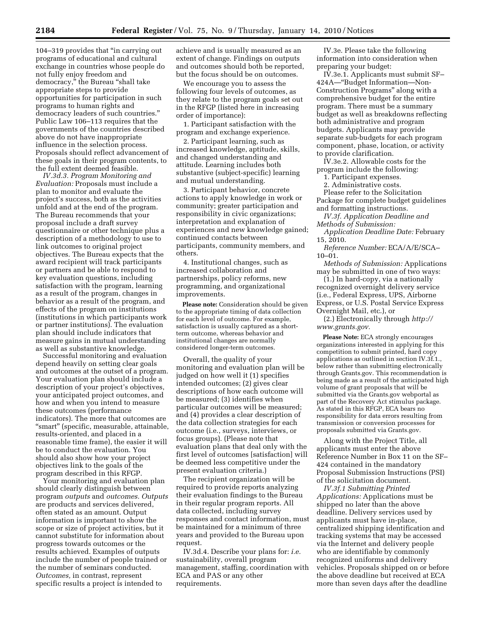104–319 provides that ''in carrying out programs of educational and cultural exchange in countries whose people do not fully enjoy freedom and democracy,'' the Bureau ''shall take appropriate steps to provide opportunities for participation in such programs to human rights and democracy leaders of such countries.'' Public Law 106–113 requires that the governments of the countries described above do not have inappropriate influence in the selection process. Proposals should reflect advancement of these goals in their program contents, to the full extent deemed feasible.

*IV.3d.3. Program Monitoring and Evaluation:* Proposals must include a plan to monitor and evaluate the project's success, both as the activities unfold and at the end of the program. The Bureau recommends that your proposal include a draft survey questionnaire or other technique plus a description of a methodology to use to link outcomes to original project objectives. The Bureau expects that the award recipient will track participants or partners and be able to respond to key evaluation questions, including satisfaction with the program, learning as a result of the program, changes in behavior as a result of the program, and effects of the program on institutions (institutions in which participants work or partner institutions). The evaluation plan should include indicators that measure gains in mutual understanding as well as substantive knowledge.

Successful monitoring and evaluation depend heavily on setting clear goals and outcomes at the outset of a program. Your evaluation plan should include a description of your project's objectives, your anticipated project outcomes, and how and when you intend to measure these outcomes (performance indicators). The more that outcomes are ''smart'' (specific, measurable, attainable, results-oriented, and placed in a reasonable time frame), the easier it will be to conduct the evaluation. You should also show how your project objectives link to the goals of the program described in this RFGP.

Your monitoring and evaluation plan should clearly distinguish between program *outputs* and *outcomes. Outputs*  are products and services delivered, often stated as an amount. Output information is important to show the scope or size of project activities, but it cannot substitute for information about progress towards outcomes or the results achieved. Examples of outputs include the number of people trained or the number of seminars conducted. *Outcomes,* in contrast, represent specific results a project is intended to

achieve and is usually measured as an extent of change. Findings on outputs and outcomes should both be reported, but the focus should be on outcomes.

We encourage you to assess the following four levels of outcomes, as they relate to the program goals set out in the RFGP (listed here in increasing order of importance):

1. Participant satisfaction with the program and exchange experience.

2. Participant learning, such as increased knowledge, aptitude, skills, and changed understanding and attitude. Learning includes both substantive (subject-specific) learning and mutual understanding.

3. Participant behavior, concrete actions to apply knowledge in work or community; greater participation and responsibility in civic organizations; interpretation and explanation of experiences and new knowledge gained; continued contacts between participants, community members, and others.

4. Institutional changes, such as increased collaboration and partnerships, policy reforms, new programming, and organizational improvements.

**Please note:** Consideration should be given to the appropriate timing of data collection for each level of outcome. For example, satisfaction is usually captured as a shortterm outcome, whereas behavior and institutional changes are normally considered longer-term outcomes.

Overall, the quality of your monitoring and evaluation plan will be judged on how well it (1) specifies intended outcomes; (2) gives clear descriptions of how each outcome will be measured; (3) identifies when particular outcomes will be measured; and (4) provides a clear description of the data collection strategies for each outcome (i.e., surveys, interviews, or focus groups). (Please note that evaluation plans that deal only with the first level of outcomes [satisfaction] will be deemed less competitive under the present evaluation criteria.)

The recipient organization will be required to provide reports analyzing their evaluation findings to the Bureau in their regular program reports. All data collected, including survey responses and contact information, must be maintained for a minimum of three years and provided to the Bureau upon request.

IV.3d.4. Describe your plans for: *i.e.*  sustainability, overall program management, staffing, coordination with ECA and PAS or any other requirements.

IV.3e. Please take the following information into consideration when preparing your budget:

IV.3e.1. Applicants must submit SF– 424A—''Budget Information—Non-Construction Programs'' along with a comprehensive budget for the entire program. There must be a summary budget as well as breakdowns reflecting both administrative and program budgets. Applicants may provide separate sub-budgets for each program component, phase, location, or activity to provide clarification.

IV.3e.2. Allowable costs for the program include the following:

1. Participant expenses.

2. Administrative costs.

Please refer to the Solicitation Package for complete budget guidelines and formatting instructions.

*IV.3f. Application Deadline and Methods of Submission:* 

*Application Deadline Date:* February 15, 2010.

*Reference Number:* ECA/A/E/SCA– 10–01.

*Methods of Submission:* Applications may be submitted in one of two ways:

(1.) In hard-copy, via a nationally recognized overnight delivery service (i.e., Federal Express, UPS, Airborne Express, or U.S. Postal Service Express Overnight Mail, etc.), or

(2.) Electronically through *http:// www.grants.gov.* 

**Please Note:** ECA strongly encourages organizations interested in applying for this competition to submit printed, hard copy applications as outlined in section IV.3f.1., below rather than submitting electronically through Grants.gov. This recommendation is being made as a result of the anticipated high volume of grant proposals that will be submitted via the Grants.gov webportal as part of the Recovery Act stimulus package. As stated in this RFGP, ECA bears no responsibility for data errors resulting from transmission or conversion processes for proposals submitted via Grants.gov.

Along with the Project Title, all applicants must enter the above Reference Number in Box 11 on the SF– 424 contained in the mandatory Proposal Submission Instructions (PSI) of the solicitation document.

*IV.3f.1 Submitting Printed Applications:* Applications must be shipped no later than the above deadline. Delivery services used by applicants must have in-place, centralized shipping identification and tracking systems that may be accessed via the Internet and delivery people who are identifiable by commonly recognized uniforms and delivery vehicles. Proposals shipped on or before the above deadline but received at ECA more than seven days after the deadline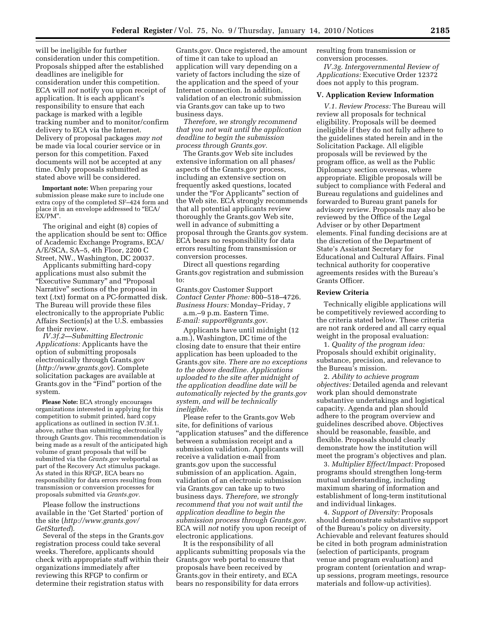will be ineligible for further consideration under this competition. Proposals shipped after the established deadlines are ineligible for consideration under this competition. ECA will *not* notify you upon receipt of application. It is each applicant's responsibility to ensure that each package is marked with a legible tracking number and to monitor/confirm delivery to ECA via the Internet. Delivery of proposal packages *may not*  be made via local courier service or in person for this competition. Faxed documents will not be accepted at any time. Only proposals submitted as stated above will be considered.

**Important note:** When preparing your submission please make sure to include one extra copy of the completed SF–424 form and place it in an envelope addressed to "ECA/ EX/PM''.

The original and eight (8) copies of the application should be sent to: Office of Academic Exchange Programs, ECA/ A/E/SCA, SA–5, 4th Floor, 2200 C Street, NW., Washington, DC 20037.

Applicants submitting hard-copy applications must also submit the ''Executive Summary'' and ''Proposal Narrative'' sections of the proposal in text (.txt) format on a PC-formatted disk. The Bureau will provide these files electronically to the appropriate Public Affairs Section(s) at the U.S. embassies for their review.

*IV.3f.2—Submitting Electronic Applications:* Applicants have the option of submitting proposals electronically through Grants.gov (*http://www.grants.gov*). Complete solicitation packages are available at Grants.gov in the "Find" portion of the system.

**Please Note:** ECA strongly encourages organizations interested in applying for this competition to submit printed, hard copy applications as outlined in section IV.3f.1. above, rather than submitting electronically through Grants.gov. This recommendation is being made as a result of the anticipated high volume of grant proposals that will be submitted via the *Grants.gov* webportal as part of the Recovery Act stimulus package. As stated in this RFGP, ECA bears no responsibility for data errors resulting from transmission or conversion processes for proposals submitted via *Grants.gov.* 

Please follow the instructions available in the 'Get Started' portion of the site (*http://www.grants.gov/ GetStarted*).

Several of the steps in the Grants.gov registration process could take several weeks. Therefore, applicants should check with appropriate staff within their organizations immediately after reviewing this RFGP to confirm or determine their registration status with

Grants.gov. Once registered, the amount of time it can take to upload an application will vary depending on a variety of factors including the size of the application and the speed of your Internet connection. In addition, validation of an electronic submission via Grants.gov can take up to two business days.

*Therefore, we strongly recommend that you not wait until the application deadline to begin the submission process through Grants.gov.* 

The Grants.gov Web site includes extensive information on all phases/ aspects of the Grants.gov process, including an extensive section on frequently asked questions, located under the "For Applicants" section of the Web site. ECA strongly recommends that all potential applicants review thoroughly the Grants.gov Web site, well in advance of submitting a proposal through the Grants.gov system. ECA bears no responsibility for data errors resulting from transmission or conversion processes.

Direct all questions regarding Grants.gov registration and submission to:

Grants.gov Customer Support *Contact Center Phone:* 800–518–4726. *Business Hours:* Monday–Friday, 7 a.m.–9 p.m. Eastern Time. *E-mail: support@grants.gov.* 

Applicants have until midnight (12 a.m.), Washington, DC time of the closing date to ensure that their entire application has been uploaded to the Grants.gov site. *There are no exceptions to the above deadline. Applications uploaded to the site after midnight of the application deadline date will be automatically rejected by the grants.gov system, and will be technically ineligible.* 

Please refer to the Grants.gov Web site, for definitions of various ''application statuses'' and the difference between a submission receipt and a submission validation. Applicants will receive a validation e-mail from grants.gov upon the successful submission of an application. Again, validation of an electronic submission via Grants.gov can take up to two business days. *Therefore, we strongly recommend that you not wait until the application deadline to begin the submission process through Grants.gov.*  ECA will *not* notify you upon receipt of electronic applications.

It is the responsibility of all applicants submitting proposals via the Grants.gov web portal to ensure that proposals have been received by Grants.gov in their entirety, and ECA bears no responsibility for data errors

resulting from transmission or conversion processes.

*IV.3g. Intergovernmental Review of Applications:* Executive Order 12372 does not apply to this program.

### **V. Application Review Information**

*V.1. Review Process:* The Bureau will review all proposals for technical eligibility. Proposals will be deemed ineligible if they do not fully adhere to the guidelines stated herein and in the Solicitation Package. All eligible proposals will be reviewed by the program office, as well as the Public Diplomacy section overseas, where appropriate. Eligible proposals will be subject to compliance with Federal and Bureau regulations and guidelines and forwarded to Bureau grant panels for advisory review. Proposals may also be reviewed by the Office of the Legal Adviser or by other Department elements. Final funding decisions are at the discretion of the Department of State's Assistant Secretary for Educational and Cultural Affairs. Final technical authority for cooperative agreements resides with the Bureau's Grants Officer.

#### **Review Criteria**

Technically eligible applications will be competitively reviewed according to the criteria stated below. These criteria are not rank ordered and all carry equal weight in the proposal evaluation:

1. *Quality of the program idea:*  Proposals should exhibit originality, substance, precision, and relevance to the Bureau's mission.

2. *Ability to achieve program objectives:* Detailed agenda and relevant work plan should demonstrate substantive undertakings and logistical capacity. Agenda and plan should adhere to the program overview and guidelines described above. Objectives should be reasonable, feasible, and flexible. Proposals should clearly demonstrate how the institution will meet the program's objectives and plan.

3. *Multiplier Effect/Impact:* Proposed programs should strengthen long-term mutual understanding, including maximum sharing of information and establishment of long-term institutional and individual linkages.

4. *Support of Diversity:* Proposals should demonstrate substantive support of the Bureau's policy on diversity. Achievable and relevant features should be cited in both program administration (selection of participants, program venue and program evaluation) and program content (orientation and wrapup sessions, program meetings, resource materials and follow-up activities).